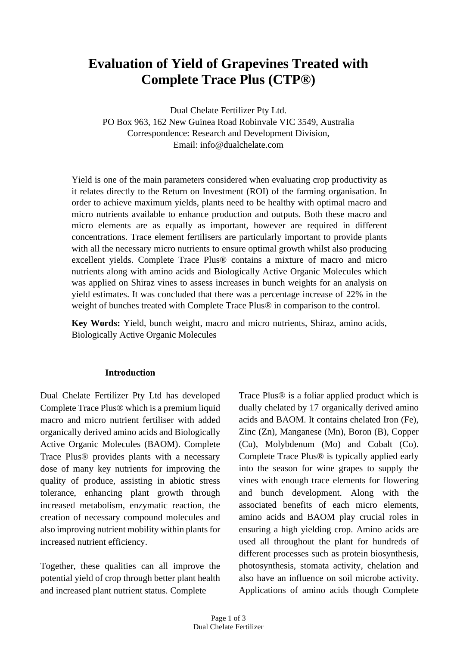# **Evaluation of Yield of Grapevines Treated with Complete Trace Plus (CTP®)**

Dual Chelate Fertilizer Pty Ltd. PO Box 963, 162 New Guinea Road Robinvale VIC 3549, Australia Correspondence: Research and Development Division, Email: [info@dualchelate.com](mailto:info@dualchelate.com)

Yield is one of the main parameters considered when evaluating crop productivity as it relates directly to the Return on Investment (ROI) of the farming organisation. In order to achieve maximum yields, plants need to be healthy with optimal macro and micro nutrients available to enhance production and outputs. Both these macro and micro elements are as equally as important, however are required in different concentrations. Trace element fertilisers are particularly important to provide plants with all the necessary micro nutrients to ensure optimal growth whilst also producing excellent yields. Complete Trace Plus® contains a mixture of macro and micro nutrients along with amino acids and Biologically Active Organic Molecules which was applied on Shiraz vines to assess increases in bunch weights for an analysis on yield estimates. It was concluded that there was a percentage increase of 22% in the weight of bunches treated with Complete Trace Plus® in comparison to the control.

**Key Words:** Yield, bunch weight, macro and micro nutrients, Shiraz, amino acids, Biologically Active Organic Molecules

#### **Introduction**

Dual Chelate Fertilizer Pty Ltd has developed Complete Trace Plus® which is a premium liquid macro and micro nutrient fertiliser with added organically derived amino acids and Biologically Active Organic Molecules (BAOM). Complete Trace Plus® provides plants with a necessary dose of many key nutrients for improving the quality of produce, assisting in abiotic stress tolerance, enhancing plant growth through increased metabolism, enzymatic reaction, the creation of necessary compound molecules and also improving nutrient mobility within plants for increased nutrient efficiency.

Together, these qualities can all improve the potential yield of crop through better plant health and increased plant nutrient status. Complete

Trace Plus® is a foliar applied product which is dually chelated by 17 organically derived amino acids and BAOM. It contains chelated Iron (Fe), Zinc (Zn), Manganese (Mn), Boron (B), Copper (Cu), Molybdenum (Mo) and Cobalt (Co). Complete Trace Plus® is typically applied early into the season for wine grapes to supply the vines with enough trace elements for flowering and bunch development. Along with the associated benefits of each micro elements, amino acids and BAOM play crucial roles in ensuring a high yielding crop. Amino acids are used all throughout the plant for hundreds of different processes such as protein biosynthesis, photosynthesis, stomata activity, chelation and also have an influence on soil microbe activity. Applications of amino acids though Complete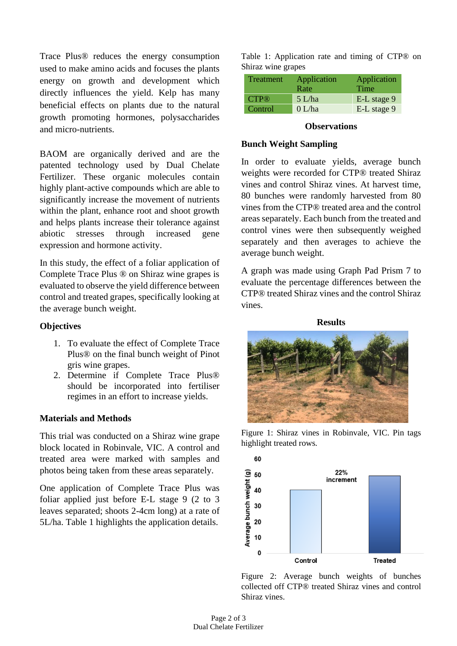Trace Plus® reduces the energy consumption used to make amino acids and focuses the plants energy on growth and development which directly influences the yield. Kelp has many beneficial effects on plants due to the natural growth promoting hormones, polysaccharides and micro-nutrients.

BAOM are organically derived and are the patented technology used by Dual Chelate Fertilizer. These organic molecules contain highly plant-active compounds which are able to significantly increase the movement of nutrients within the plant, enhance root and shoot growth and helps plants increase their tolerance against abiotic stresses through increased gene expression and hormone activity.

In this study, the effect of a foliar application of Complete Trace Plus ® on Shiraz wine grapes is evaluated to observe the yield difference between control and treated grapes, specifically looking at the average bunch weight.

# **Objectives**

- 1. To evaluate the effect of Complete Trace Plus® on the final bunch weight of Pinot gris wine grapes.
- 2. Determine if Complete Trace Plus® should be incorporated into fertiliser regimes in an effort to increase yields.

# **Materials and Methods**

This trial was conducted on a Shiraz wine grape block located in Robinvale, VIC. A control and treated area were marked with samples and photos being taken from these areas separately.

One application of Complete Trace Plus was foliar applied just before E-L stage 9 (2 to 3 leaves separated; shoots 2-4cm long) at a rate of 5L/ha. Table 1 highlights the application details.

Table 1: Application rate and timing of CTP® on Shiraz wine grapes

| Treatment          | Application<br>Rate | Application<br>Time |
|--------------------|---------------------|---------------------|
| $CTP$ <sup>®</sup> | $5$ L/ha            | E-L stage 9         |
| Control            | 0 L/ha              | E-L stage 9         |

#### **Observations**

### **Bunch Weight Sampling**

In order to evaluate yields, average bunch weights were recorded for CTP® treated Shiraz vines and control Shiraz vines. At harvest time, 80 bunches were randomly harvested from 80 vines from the CTP® treated area and the control areas separately. Each bunch from the treated and control vines were then subsequently weighed separately and then averages to achieve the average bunch weight.

A graph was made using Graph Pad Prism 7 to evaluate the percentage differences between the CTP® treated Shiraz vines and the control Shiraz vines.

#### **Results**



Figure 1: Shiraz vines in Robinvale, VIC. Pin tags highlight treated rows.



Figure 2: Average bunch weights of bunches collected off CTP® treated Shiraz vines and control Shiraz vines.